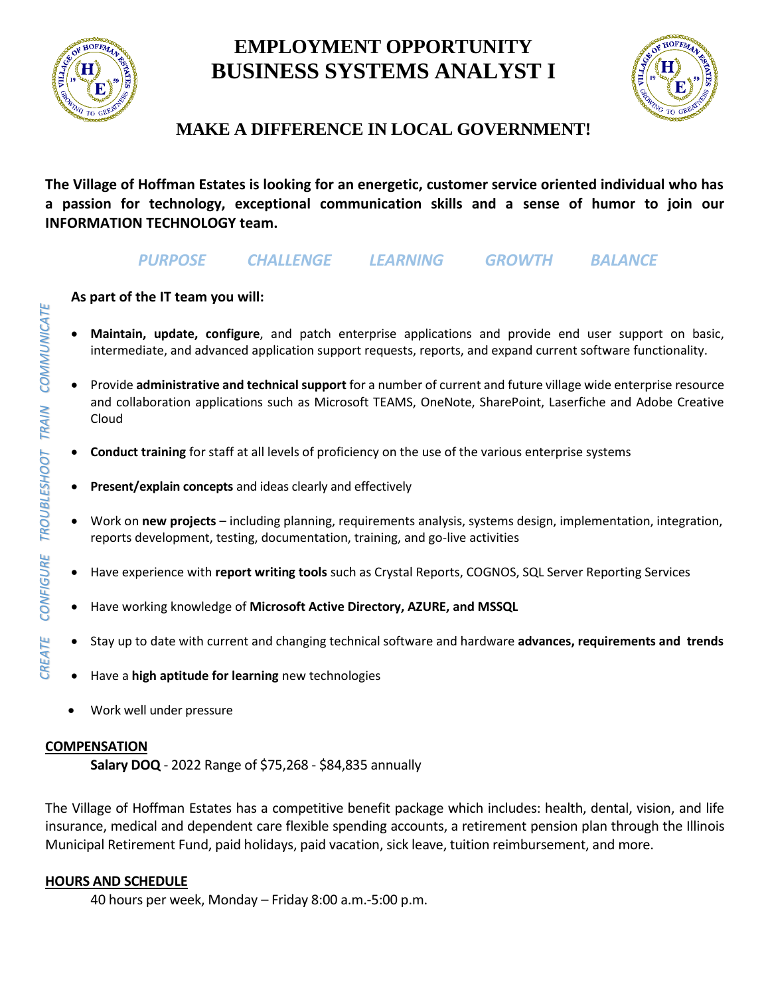

# **EMPLOYMENT OPPORTUNITY BUSINESS SYSTEMS ANALYST I**



## **MAKE A DIFFERENCE IN LOCAL GOVERNMENT!**

**The Village of Hoffman Estates is looking for an energetic, customer service oriented individual who has a passion for technology, exceptional communication skills and a sense of humor to join our INFORMATION TECHNOLOGY team.**

### *PURPOSE CHALLENGE LEARNING GROWTH BALANCE*

#### **As part of the IT team you will:**

- **Maintain, update, configure**, and patch enterprise applications and provide end user support on basic, intermediate, and advanced application support requests, reports, and expand current software functionality.
- Provide **administrative and technical support** for a number of current and future village wide enterprise resource and collaboration applications such as Microsoft TEAMS, OneNote, SharePoint, Laserfiche and Adobe Creative Cloud
- **Conduct training** for staff at all levels of proficiency on the use of the various enterprise systems
- **Present/explain concepts** and ideas clearly and effectively
- Work on **new projects** including planning, requirements analysis, systems design, implementation, integration, reports development, testing, documentation, training, and go-live activities
- Have experience with **report writing tools** such as Crystal Reports, COGNOS, SQL Server Reporting Services
- Have working knowledge of **Microsoft Active Directory, AZURE, and MSSQL**
- Stay up to date with current and changing technical software and hardware **advances, requirements and trends**
- Have a **high aptitude for learning** new technologies
- Work well under pressure

#### **COMPENSATION**

**Salary DOQ** - 2022 Range of \$75,268 - \$84,835 annually

The Village of Hoffman Estates has a competitive benefit package which includes: health, dental, vision, and life insurance, medical and dependent care flexible spending accounts, a retirement pension plan through the Illinois Municipal Retirement Fund, paid holidays, paid vacation, sick leave, tuition reimbursement, and more.

#### **HOURS AND SCHEDULE**

40 hours per week, Monday – Friday 8:00 a.m.-5:00 p.m.